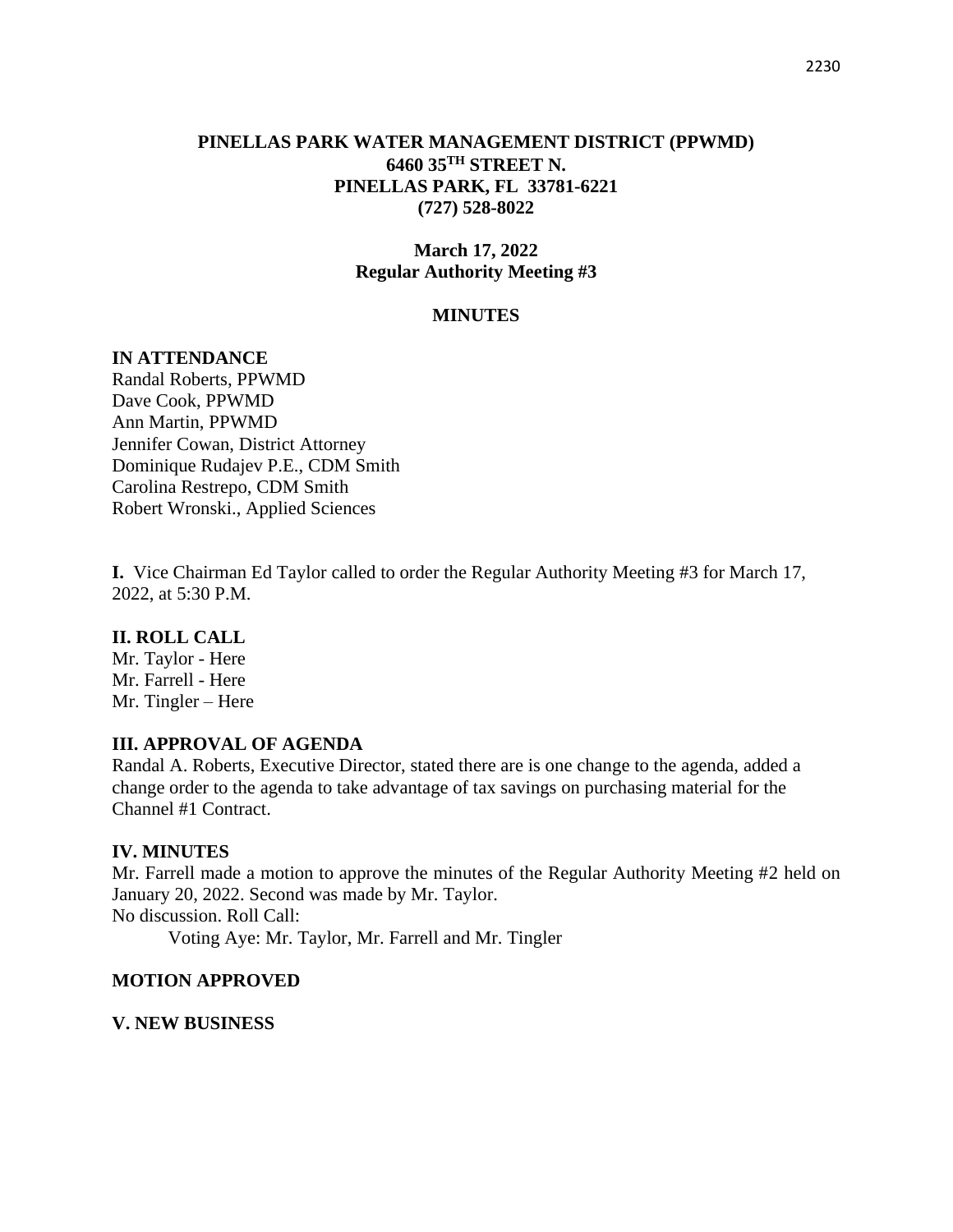### **PINELLAS PARK WATER MANAGEMENT DISTRICT (PPWMD) 6460 35TH STREET N. PINELLAS PARK, FL 33781-6221 (727) 528-8022**

# **March 17, 2022 Regular Authority Meeting #3**

### **MINUTES**

### **IN ATTENDANCE**

Randal Roberts, PPWMD Dave Cook, PPWMD Ann Martin, PPWMD Jennifer Cowan, District Attorney Dominique Rudajev P.E., CDM Smith Carolina Restrepo, CDM Smith Robert Wronski., Applied Sciences

**I.** Vice Chairman Ed Taylor called to order the Regular Authority Meeting #3 for March 17, 2022, at 5:30 P.M.

### **II. ROLL CALL**

Mr. Taylor - Here Mr. Farrell - Here Mr. Tingler – Here

### **III. APPROVAL OF AGENDA**

Randal A. Roberts, Executive Director, stated there are is one change to the agenda, added a change order to the agenda to take advantage of tax savings on purchasing material for the Channel #1 Contract.

### **IV. MINUTES**

Mr. Farrell made a motion to approve the minutes of the Regular Authority Meeting #2 held on January 20, 2022. Second was made by Mr. Taylor. No discussion. Roll Call:

Voting Aye: Mr. Taylor, Mr. Farrell and Mr. Tingler

### **MOTION APPROVED**

#### **V. NEW BUSINESS**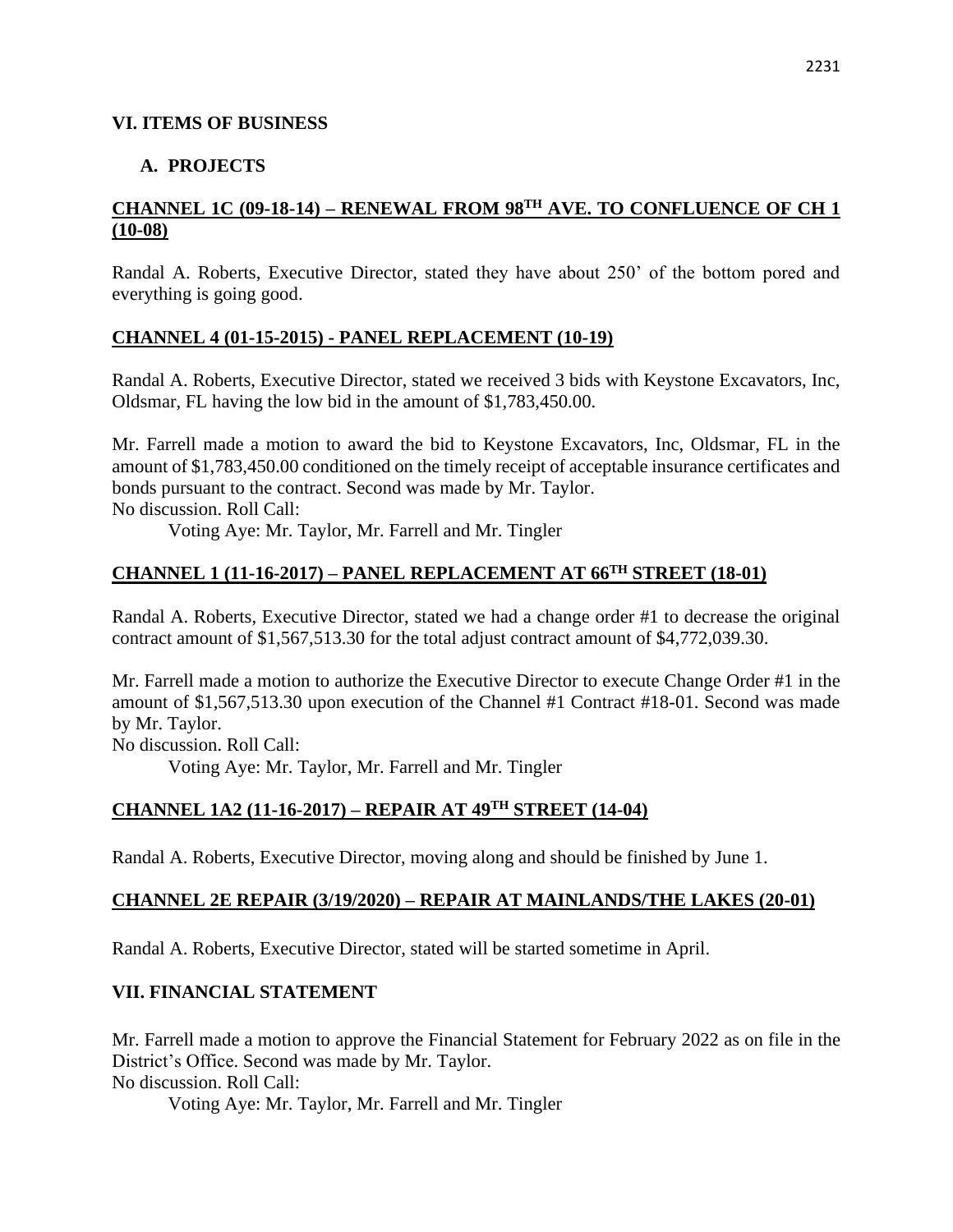#### **VI. ITEMS OF BUSINESS**

### **A. PROJECTS**

# **CHANNEL 1C (09-18-14) – RENEWAL FROM 98TH AVE. TO CONFLUENCE OF CH 1 (10-08)**

Randal A. Roberts, Executive Director, stated they have about 250' of the bottom pored and everything is going good.

### **CHANNEL 4 (01-15-2015) - PANEL REPLACEMENT (10-19)**

Randal A. Roberts, Executive Director, stated we received 3 bids with Keystone Excavators, Inc, Oldsmar, FL having the low bid in the amount of \$1,783,450.00.

Mr. Farrell made a motion to award the bid to Keystone Excavators, Inc, Oldsmar, FL in the amount of \$1,783,450.00 conditioned on the timely receipt of acceptable insurance certificates and bonds pursuant to the contract. Second was made by Mr. Taylor.

No discussion. Roll Call:

Voting Aye: Mr. Taylor, Mr. Farrell and Mr. Tingler

# **CHANNEL 1 (11-16-2017) – PANEL REPLACEMENT AT 66TH STREET (18-01)**

Randal A. Roberts, Executive Director, stated we had a change order #1 to decrease the original contract amount of \$1,567,513.30 for the total adjust contract amount of \$4,772,039.30.

Mr. Farrell made a motion to authorize the Executive Director to execute Change Order #1 in the amount of \$1,567,513.30 upon execution of the Channel #1 Contract #18-01. Second was made by Mr. Taylor.

No discussion. Roll Call: Voting Aye: Mr. Taylor, Mr. Farrell and Mr. Tingler

# **CHANNEL 1A2 (11-16-2017) – REPAIR AT 49TH STREET (14-04)**

Randal A. Roberts, Executive Director, moving along and should be finished by June 1.

### **CHANNEL 2E REPAIR (3/19/2020) – REPAIR AT MAINLANDS/THE LAKES (20-01)**

Randal A. Roberts, Executive Director, stated will be started sometime in April.

# **VII. FINANCIAL STATEMENT**

Mr. Farrell made a motion to approve the Financial Statement for February 2022 as on file in the District's Office. Second was made by Mr. Taylor. No discussion. Roll Call:

Voting Aye: Mr. Taylor, Mr. Farrell and Mr. Tingler